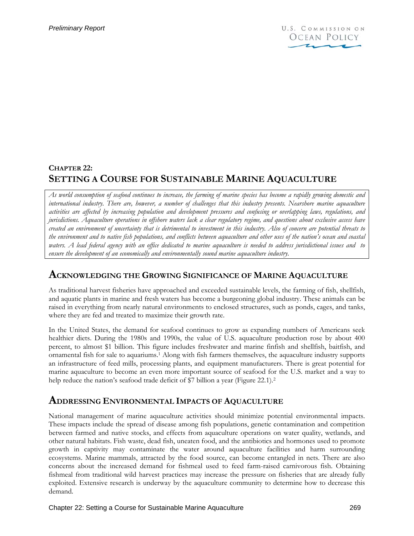# **CHAPTER 22: SETTING A COURSE FOR SUSTAINABLE MARINE AQUACULTURE**

*As world consumption of seafood continues to increase, the farming of marine species has become a rapidly growing domestic and international industry. There are, however, a number of challenges that this industry presents. Nearshore marine aquaculture activities are affected by increasing population and development pressures and confusing or overlapping laws, regulations, and jurisdictions. Aquaculture operations in offshore waters lack a clear regulatory regime, and questions about exclusive access have created an environment of uncertainty that is detrimental to investment in this industry. Also of concern are potential threats to the environment and to native fish populations, and conflicts between aquaculture and other uses of the nation's ocean and coastal waters. A lead federal agency with an office dedicated to marine aquaculture is needed to address jurisdictional issues and to ensure the development of an economically and environmentally sound marine aquaculture industry.* 

## **ACKNOWLEDGING THE GROWING SIGNIFICANCE OF MARINE AQUACULTURE**

As traditional harvest fisheries have approached and exceeded sustainable levels, the farming of fish, shellfish, and aquatic plants in marine and fresh waters has become a burgeoning global industry. These animals can be raised in everything from nearly natural environments to enclosed structures, such as ponds, cages, and tanks, where they are fed and treated to maximize their growth rate.

In the United States, the demand for seafood continues to grow as expanding numbers of Americans seek healthier diets. During the 1980s and 1990s, the value of U.S. aquaculture production rose by about 400 percent, to almost \$1 billion. This figure includes freshwater and marine finfish and shellfish, baitfish, and ornamental fish for sale to aquariums.1 Along with fish farmers themselves, the aquaculture industry supports an infrastructure of feed mills, processing plants, and equipment manufacturers. There is great potential for marine aquaculture to become an even more important source of seafood for the U.S. market and a way to help reduce the nation's seafood trade deficit of \$7 billion a year (Figure 22.1).<sup>2</sup>

# **ADDRESSING ENVIRONMENTAL IMPACTS OF AQUACULTURE**

National management of marine aquaculture activities should minimize potential environmental impacts. These impacts include the spread of disease among fish populations, genetic contamination and competition between farmed and native stocks, and effects from aquaculture operations on water quality, wetlands, and other natural habitats. Fish waste, dead fish, uneaten food, and the antibiotics and hormones used to promote growth in captivity may contaminate the water around aquaculture facilities and harm surrounding ecosystems. Marine mammals, attracted by the food source, can become entangled in nets. There are also concerns about the increased demand for fishmeal used to feed farm-raised carnivorous fish. Obtaining fishmeal from traditional wild harvest practices may increase the pressure on fisheries that are already fully exploited. Extensive research is underway by the aquaculture community to determine how to decrease this demand.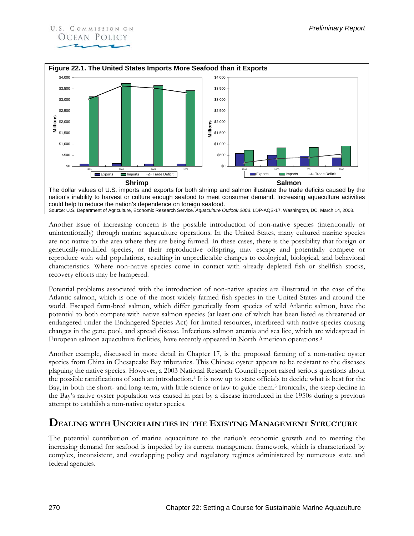



Another issue of increasing concern is the possible introduction of non-native species (intentionally or unintentionally) through marine aquaculture operations. In the United States, many cultured marine species are not native to the area where they are being farmed. In these cases, there is the possibility that foreign or genetically-modified species, or their reproductive offspring, may escape and potentially compete or reproduce with wild populations, resulting in unpredictable changes to ecological, biological, and behavioral characteristics. Where non-native species come in contact with already depleted fish or shellfish stocks, recovery efforts may be hampered.

Potential problems associated with the introduction of non-native species are illustrated in the case of the Atlantic salmon, which is one of the most widely farmed fish species in the United States and around the world. Escaped farm-bred salmon, which differ genetically from species of wild Atlantic salmon, have the potential to both compete with native salmon species (at least one of which has been listed as threatened or endangered under the Endangered Species Act) for limited resources, interbreed with native species causing changes in the gene pool, and spread disease. Infectious salmon anemia and sea lice, which are widespread in European salmon aquaculture facilities, have recently appeared in North American operations.<sup>3</sup>

Another example, discussed in more detail in Chapter 17, is the proposed farming of a non-native oyster species from China in Chesapeake Bay tributaries. This Chinese oyster appears to be resistant to the diseases plaguing the native species. However, a 2003 National Research Council report raised serious questions about the possible ramifications of such an introduction.4 It is now up to state officials to decide what is best for the Bay, in both the short- and long-term, with little science or law to guide them.5 Ironically, the steep decline in the Bay's native oyster population was caused in part by a disease introduced in the 1950s during a previous attempt to establish a non-native oyster species.

# **DEALING WITH UNCERTAINTIES IN THE EXISTING MANAGEMENT STRUCTURE**

The potential contribution of marine aquaculture to the nation's economic growth and to meeting the increasing demand for seafood is impeded by its current management framework, which is characterized by complex, inconsistent, and overlapping policy and regulatory regimes administered by numerous state and federal agencies.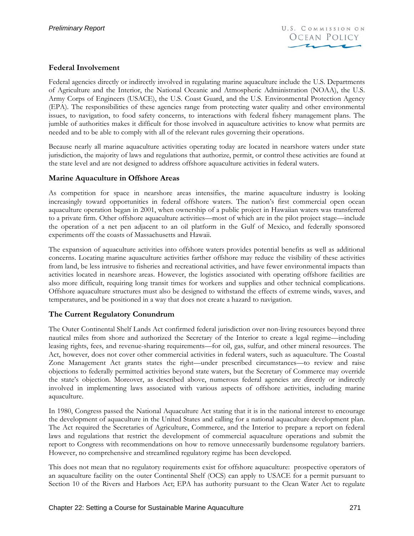### **Federal Involvement**

Federal agencies directly or indirectly involved in regulating marine aquaculture include the U.S. Departments of Agriculture and the Interior, the National Oceanic and Atmospheric Administration (NOAA), the U.S. Army Corps of Engineers (USACE), the U.S. Coast Guard, and the U.S. Environmental Protection Agency (EPA). The responsibilities of these agencies range from protecting water quality and other environmental issues, to navigation, to food safety concerns, to interactions with federal fishery management plans. The jumble of authorities makes it difficult for those involved in aquaculture activities to know what permits are needed and to be able to comply with all of the relevant rules governing their operations.

Because nearly all marine aquaculture activities operating today are located in nearshore waters under state jurisdiction, the majority of laws and regulations that authorize, permit, or control these activities are found at the state level and are not designed to address offshore aquaculture activities in federal waters.

### **Marine Aquaculture in Offshore Areas**

As competition for space in nearshore areas intensifies, the marine aquaculture industry is looking increasingly toward opportunities in federal offshore waters. The nation's first commercial open ocean aquaculture operation began in 2001, when ownership of a public project in Hawaiian waters was transferred to a private firm. Other offshore aquaculture activities—most of which are in the pilot project stage—include the operation of a net pen adjacent to an oil platform in the Gulf of Mexico, and federally sponsored experiments off the coasts of Massachusetts and Hawaii.

The expansion of aquaculture activities into offshore waters provides potential benefits as well as additional concerns. Locating marine aquaculture activities farther offshore may reduce the visibility of these activities from land, be less intrusive to fisheries and recreational activities, and have fewer environmental impacts than activities located in nearshore areas. However, the logistics associated with operating offshore facilities are also more difficult, requiring long transit times for workers and supplies and other technical complications. Offshore aquaculture structures must also be designed to withstand the effects of extreme winds, waves, and temperatures, and be positioned in a way that does not create a hazard to navigation.

### **The Current Regulatory Conundrum**

The Outer Continental Shelf Lands Act confirmed federal jurisdiction over non-living resources beyond three nautical miles from shore and authorized the Secretary of the Interior to create a legal regime—including leasing rights, fees, and revenue-sharing requirements—for oil, gas, sulfur, and other mineral resources. The Act, however, does not cover other commercial activities in federal waters, such as aquaculture. The Coastal Zone Management Act grants states the right—under prescribed circumstances—to review and raise objections to federally permitted activities beyond state waters, but the Secretary of Commerce may override the state's objection. Moreover, as described above, numerous federal agencies are directly or indirectly involved in implementing laws associated with various aspects of offshore activities, including marine aquaculture.

In 1980, Congress passed the National Aquaculture Act stating that it is in the national interest to encourage the development of aquaculture in the United States and calling for a national aquaculture development plan. The Act required the Secretaries of Agriculture, Commerce, and the Interior to prepare a report on federal laws and regulations that restrict the development of commercial aquaculture operations and submit the report to Congress with recommendations on how to remove unnecessarily burdensome regulatory barriers. However, no comprehensive and streamlined regulatory regime has been developed.

This does not mean that no regulatory requirements exist for offshore aquaculture: prospective operators of an aquaculture facility on the outer Continental Shelf (OCS) can apply to USACE for a permit pursuant to Section 10 of the Rivers and Harbors Act; EPA has authority pursuant to the Clean Water Act to regulate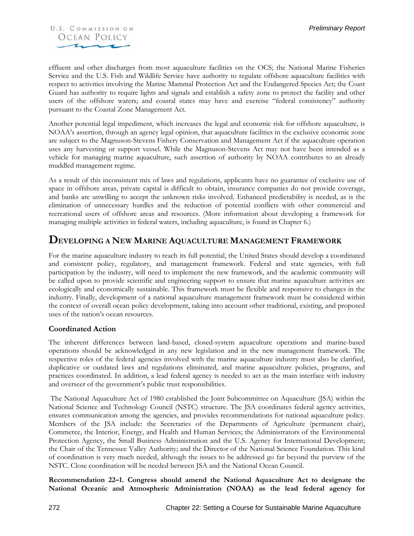

effluent and other discharges from most aquaculture facilities on the OCS; the National Marine Fisheries Service and the U.S. Fish and Wildlife Service have authority to regulate offshore aquaculture facilities with respect to activities involving the Marine Mammal Protection Act and the Endangered Species Act; the Coast Guard has authority to require lights and signals and establish a safety zone to protect the facility and other users of the offshore waters; and coastal states may have and exercise "federal consistency" authority pursuant to the Coastal Zone Management Act.

Another potential legal impediment, which increases the legal and economic risk for offshore aquaculture, is NOAA's assertion, through an agency legal opinion, that aquaculture facilities in the exclusive economic zone are subject to the Magnuson-Stevens Fishery Conservation and Management Act if the aquaculture operation uses any harvesting or support vessel. While the Magnuson-Stevens Act may not have been intended as a vehicle for managing marine aquaculture, such assertion of authority by NOAA contributes to an already muddled management regime.

As a result of this inconsistent mix of laws and regulations, applicants have no guarantee of exclusive use of space in offshore areas, private capital is difficult to obtain, insurance companies do not provide coverage, and banks are unwilling to accept the unknown risks involved. Enhanced predictability is needed, as is the elimination of unnecessary hurdles and the reduction of potential conflicts with other commercial and recreational users of offshore areas and resources. (More information about developing a framework for managing multiple activities in federal waters, including aquaculture, is found in Chapter 6.)

## **DEVELOPING A NEW MARINE AQUACULTURE MANAGEMENT FRAMEWORK**

For the marine aquaculture industry to reach its full potential, the United States should develop a coordinated and consistent policy, regulatory, and management framework. Federal and state agencies, with full participation by the industry, will need to implement the new framework, and the academic community will be called upon to provide scientific and engineering support to ensure that marine aquaculture activities are ecologically and economically sustainable. This framework must be flexible and responsive to changes in the industry. Finally, development of a national aquaculture management framework must be considered within the context of overall ocean policy development, taking into account other traditional, existing, and proposed uses of the nation's ocean resources.

#### **Coordinated Action**

The inherent differences between land-based, closed-system aquaculture operations and marine-based operations should be acknowledged in any new legislation and in the new management framework. The respective roles of the federal agencies involved with the marine aquaculture industry must also be clarified, duplicative or outdated laws and regulations eliminated, and marine aquaculture policies, programs, and practices coordinated. In addition, a lead federal agency is needed to act as the main interface with industry and overseer of the government's public trust responsibilities.

 The National Aquaculture Act of 1980 established the Joint Subcommittee on Aquaculture (JSA) within the National Science and Technology Council (NSTC) structure. The JSA coordinates federal agency activities, ensures communication among the agencies, and provides recommendations for national aquaculture policy. Members of the JSA include: the Secretaries of the Departments of Agriculture (permanent chair), Commerce, the Interior, Energy, and Health and Human Services; the Administrators of the Environmental Protection Agency, the Small Business Administration and the U.S. Agency for International Development; the Chair of the Tennessee Valley Authority; and the Director of the National Science Foundation. This kind of coordination is very much needed, although the issues to be addressed go far beyond the purview of the NSTC. Close coordination will be needed between JSA and the National Ocean Council.

**Recommendation 22–1. Congress should amend the National Aquaculture Act to designate the National Oceanic and Atmospheric Administration (NOAA) as the lead federal agency for**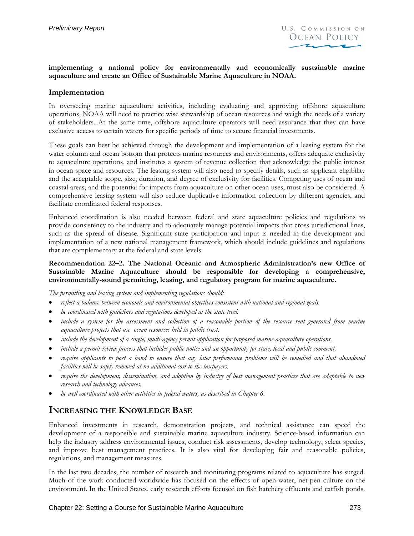#### **implementing a national policy for environmentally and economically sustainable marine aquaculture and create an Office of Sustainable Marine Aquaculture in NOAA.**

#### **Implementation**

In overseeing marine aquaculture activities, including evaluating and approving offshore aquaculture operations, NOAA will need to practice wise stewardship of ocean resources and weigh the needs of a variety of stakeholders. At the same time, offshore aquaculture operators will need assurance that they can have exclusive access to certain waters for specific periods of time to secure financial investments.

These goals can best be achieved through the development and implementation of a leasing system for the water column and ocean bottom that protects marine resources and environments, offers adequate exclusivity to aquaculture operations, and institutes a system of revenue collection that acknowledge the public interest in ocean space and resources. The leasing system will also need to specify details, such as applicant eligibility and the acceptable scope, size, duration, and degree of exclusivity for facilities. Competing uses of ocean and coastal areas, and the potential for impacts from aquaculture on other ocean uses, must also be considered. A comprehensive leasing system will also reduce duplicative information collection by different agencies, and facilitate coordinated federal responses.

Enhanced coordination is also needed between federal and state aquaculture policies and regulations to provide consistency to the industry and to adequately manage potential impacts that cross jurisdictional lines, such as the spread of disease. Significant state participation and input is needed in the development and implementation of a new national management framework, which should include guidelines and regulations that are complementary at the federal and state levels.

#### **Recommendation 22–2. The National Oceanic and Atmospheric Administration's new Office of Sustainable Marine Aquaculture should be responsible for developing a comprehensive, environmentally-sound permitting, leasing, and regulatory program for marine aquaculture.**

*The permitting and leasing system and implementing regulations should:* 

- *reflect a balance between economic and environmental objectives consistent with national and regional goals.*
- *be coordinated with guidelines and regulations developed at the state level.*
- *include a system for the assessment and collection of a reasonable portion of the resource rent generated from marine aquaculture projects that use ocean resources held in public trust.*
- *include the development of a single, multi-agency permit application for proposed marine aquaculture operations.*
- *include a permit review process that includes public notice and an opportunity for state, local and public comment.*
- *require applicants to post a bond to ensure that any later performance problems will be remedied and that abandoned facilities will be safely removed at no additional cost to the taxpayers.*
- *require the development, dissemination, and adoption by industry of best management practices that are adaptable to new research and technology advances.*
- *be well coordinated with other activities in federal waters, as described in Chapter 6.*

## **INCREASING THE KNOWLEDGE BASE**

Enhanced investments in research, demonstration projects, and technical assistance can speed the development of a responsible and sustainable marine aquaculture industry. Science-based information can help the industry address environmental issues, conduct risk assessments, develop technology, select species, and improve best management practices. It is also vital for developing fair and reasonable policies, regulations, and management measures.

In the last two decades, the number of research and monitoring programs related to aquaculture has surged. Much of the work conducted worldwide has focused on the effects of open-water, net-pen culture on the environment. In the United States, early research efforts focused on fish hatchery effluents and catfish ponds.